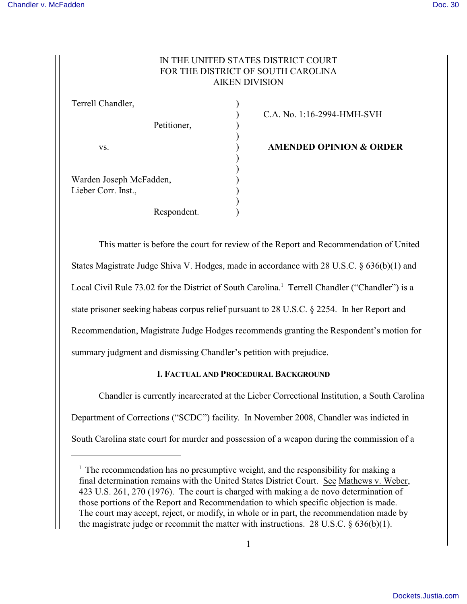# IN THE UNITED STATES DISTRICT COURT FOR THE DISTRICT OF SOUTH CAROLINA AIKEN DIVISION

| Terrell Chandler,                              |             |  |
|------------------------------------------------|-------------|--|
|                                                | Petitioner, |  |
| VS.                                            |             |  |
| Warden Joseph McFadden,<br>Lieber Corr. Inst., |             |  |
|                                                | Respondent. |  |

) C.A. No. 1:16-2994-HMH-SVH

**AMENDED OPINION & ORDER** 

This matter is before the court for review of the Report and Recommendation of United States Magistrate Judge Shiva V. Hodges, made in accordance with 28 U.S.C. § 636(b)(1) and Local Civil Rule 73.02 for the District of South Carolina.<sup>1</sup> Terrell Chandler ("Chandler") is a state prisoner seeking habeas corpus relief pursuant to 28 U.S.C. § 2254. In her Report and Recommendation, Magistrate Judge Hodges recommends granting the Respondent's motion for summary judgment and dismissing Chandler's petition with prejudice.

## **I. FACTUAL AND PROCEDURAL BACKGROUND**

Chandler is currently incarcerated at the Lieber Correctional Institution, a South Carolina Department of Corrections ("SCDC") facility. In November 2008, Chandler was indicted in South Carolina state court for murder and possession of a weapon during the commission of a

<sup>&</sup>lt;sup>1</sup> The recommendation has no presumptive weight, and the responsibility for making a final determination remains with the United States District Court. See Mathews v. Weber, 423 U.S. 261, 270 (1976). The court is charged with making a de novo determination of those portions of the Report and Recommendation to which specific objection is made. The court may accept, reject, or modify, in whole or in part, the recommendation made by the magistrate judge or recommit the matter with instructions. 28 U.S.C.  $\S$  636(b)(1).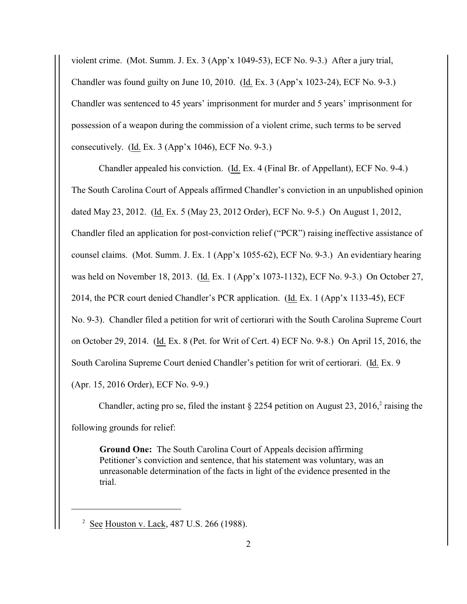violent crime. (Mot. Summ. J. Ex. 3 (App'x 1049-53), ECF No. 9-3.) After a jury trial, Chandler was found guilty on June 10, 2010. (Id. Ex. 3 (App'x 1023-24), ECF No. 9-3.) Chandler was sentenced to 45 years' imprisonment for murder and 5 years' imprisonment for possession of a weapon during the commission of a violent crime, such terms to be served consecutively. (Id. Ex. 3 (App'x 1046), ECF No. 9-3.)

Chandler appealed his conviction. (Id. Ex. 4 (Final Br. of Appellant), ECF No. 9-4.) The South Carolina Court of Appeals affirmed Chandler's conviction in an unpublished opinion dated May 23, 2012. (Id. Ex. 5 (May 23, 2012 Order), ECF No. 9-5.) On August 1, 2012, Chandler filed an application for post-conviction relief ("PCR") raising ineffective assistance of counsel claims. (Mot. Summ. J. Ex. 1 (App'x 1055-62), ECF No. 9-3.) An evidentiary hearing was held on November 18, 2013. (Id. Ex. 1 (App'x 1073-1132), ECF No. 9-3.) On October 27, 2014, the PCR court denied Chandler's PCR application. (Id. Ex. 1 (App'x 1133-45), ECF No. 9-3). Chandler filed a petition for writ of certiorari with the South Carolina Supreme Court on October 29, 2014. (Id. Ex. 8 (Pet. for Writ of Cert. 4) ECF No. 9-8.) On April 15, 2016, the South Carolina Supreme Court denied Chandler's petition for writ of certiorari. (Id. Ex. 9 (Apr. 15, 2016 Order), ECF No. 9-9.)

Chandler, acting pro se, filed the instant  $\S 2254$  petition on August 23, 2016,<sup>2</sup> raising the following grounds for relief:

**Ground One:** The South Carolina Court of Appeals decision affirming Petitioner's conviction and sentence, that his statement was voluntary, was an unreasonable determination of the facts in light of the evidence presented in the trial.

 $2 \text{ See }$  Houston v. Lack, 487 U.S. 266 (1988).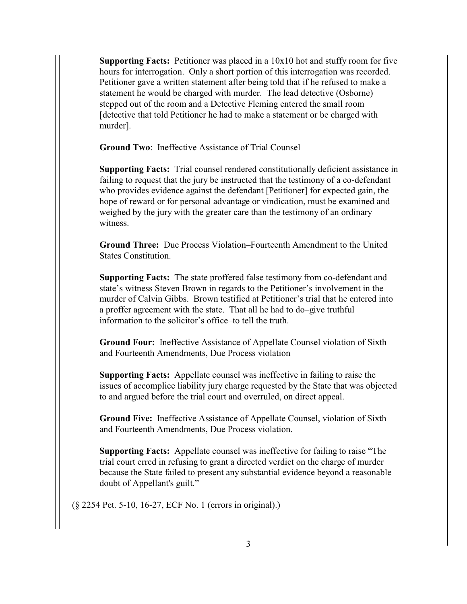**Supporting Facts:** Petitioner was placed in a 10x10 hot and stuffy room for five hours for interrogation. Only a short portion of this interrogation was recorded. Petitioner gave a written statement after being told that if he refused to make a statement he would be charged with murder. The lead detective (Osborne) stepped out of the room and a Detective Fleming entered the small room [detective that told Petitioner he had to make a statement or be charged with murder].

**Ground Two**: Ineffective Assistance of Trial Counsel

**Supporting Facts:** Trial counsel rendered constitutionally deficient assistance in failing to request that the jury be instructed that the testimony of a co-defendant who provides evidence against the defendant [Petitioner] for expected gain, the hope of reward or for personal advantage or vindication, must be examined and weighed by the jury with the greater care than the testimony of an ordinary witness.

**Ground Three:** Due Process Violation–Fourteenth Amendment to the United States Constitution.

**Supporting Facts:** The state proffered false testimony from co-defendant and state's witness Steven Brown in regards to the Petitioner's involvement in the murder of Calvin Gibbs. Brown testified at Petitioner's trial that he entered into a proffer agreement with the state. That all he had to do–give truthful information to the solicitor's office–to tell the truth.

**Ground Four:** Ineffective Assistance of Appellate Counsel violation of Sixth and Fourteenth Amendments, Due Process violation

**Supporting Facts:** Appellate counsel was ineffective in failing to raise the issues of accomplice liability jury charge requested by the State that was objected to and argued before the trial court and overruled, on direct appeal.

**Ground Five:** Ineffective Assistance of Appellate Counsel, violation of Sixth and Fourteenth Amendments, Due Process violation.

**Supporting Facts:** Appellate counsel was ineffective for failing to raise "The trial court erred in refusing to grant a directed verdict on the charge of murder because the State failed to present any substantial evidence beyond a reasonable doubt of Appellant's guilt."

(§ 2254 Pet. 5-10, 16-27, ECF No. 1 (errors in original).)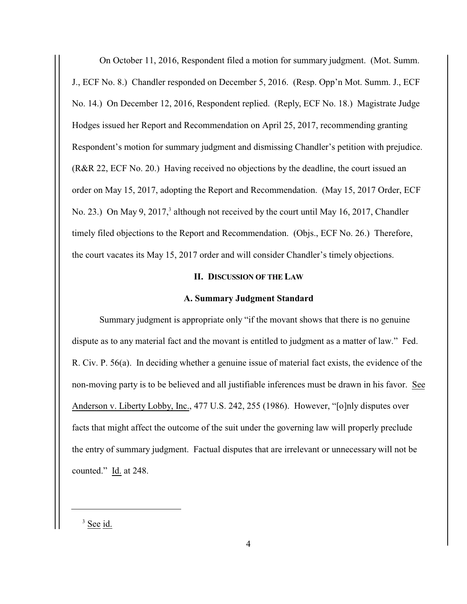On October 11, 2016, Respondent filed a motion for summary judgment. (Mot. Summ. J., ECF No. 8.) Chandler responded on December 5, 2016. (Resp. Opp'n Mot. Summ. J., ECF No. 14.) On December 12, 2016, Respondent replied. (Reply, ECF No. 18.) Magistrate Judge Hodges issued her Report and Recommendation on April 25, 2017, recommending granting Respondent's motion for summary judgment and dismissing Chandler's petition with prejudice. (R&R 22, ECF No. 20.) Having received no objections by the deadline, the court issued an order on May 15, 2017, adopting the Report and Recommendation. (May 15, 2017 Order, ECF No. 23.) On May 9, 2017,<sup>3</sup> although not received by the court until May 16, 2017, Chandler timely filed objections to the Report and Recommendation. (Objs., ECF No. 26.) Therefore, the court vacates its May 15, 2017 order and will consider Chandler's timely objections.

## **II. DISCUSSION OF THE LAW**

### **A. Summary Judgment Standard**

Summary judgment is appropriate only "if the movant shows that there is no genuine dispute as to any material fact and the movant is entitled to judgment as a matter of law." Fed. R. Civ. P. 56(a). In deciding whether a genuine issue of material fact exists, the evidence of the non-moving party is to be believed and all justifiable inferences must be drawn in his favor. See Anderson v. Liberty Lobby, Inc., 477 U.S. 242, 255 (1986). However, "[o]nly disputes over facts that might affect the outcome of the suit under the governing law will properly preclude the entry of summary judgment. Factual disputes that are irrelevant or unnecessary will not be counted." Id. at 248.

 $3$  See id.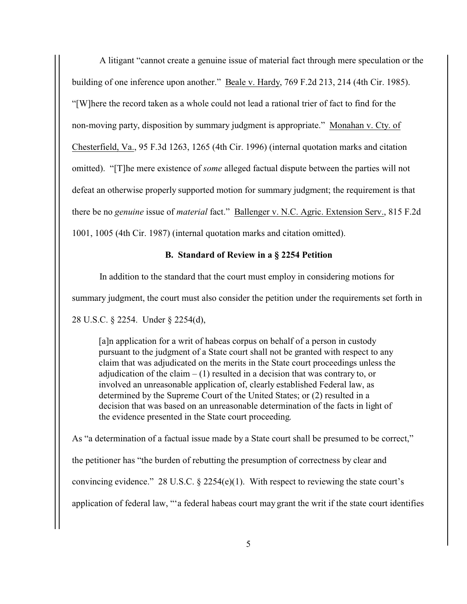A litigant "cannot create a genuine issue of material fact through mere speculation or the building of one inference upon another." Beale v. Hardy, 769 F.2d 213, 214 (4th Cir. 1985). "[W]here the record taken as a whole could not lead a rational trier of fact to find for the non-moving party, disposition by summary judgment is appropriate." Monahan v. Cty. of Chesterfield, Va., 95 F.3d 1263, 1265 (4th Cir. 1996) (internal quotation marks and citation omitted). "[T]he mere existence of *some* alleged factual dispute between the parties will not defeat an otherwise properly supported motion for summary judgment; the requirement is that there be no *genuine* issue of *material* fact." Ballenger v. N.C. Agric. Extension Serv., 815 F.2d 1001, 1005 (4th Cir. 1987) (internal quotation marks and citation omitted).

## **B. Standard of Review in a § 2254 Petition**

In addition to the standard that the court must employ in considering motions for summary judgment, the court must also consider the petition under the requirements set forth in 28 U.S.C. § 2254. Under § 2254(d),

[a]n application for a writ of habeas corpus on behalf of a person in custody pursuant to the judgment of a State court shall not be granted with respect to any claim that was adjudicated on the merits in the State court proceedings unless the adjudication of the claim  $- (1)$  resulted in a decision that was contrary to, or involved an unreasonable application of, clearly established Federal law, as determined by the Supreme Court of the United States; or (2) resulted in a decision that was based on an unreasonable determination of the facts in light of the evidence presented in the State court proceeding.

As "a determination of a factual issue made by a State court shall be presumed to be correct," the petitioner has "the burden of rebutting the presumption of correctness by clear and convincing evidence." 28 U.S.C.  $\S$  2254(e)(1). With respect to reviewing the state court's application of federal law, "'a federal habeas court may grant the writ if the state court identifies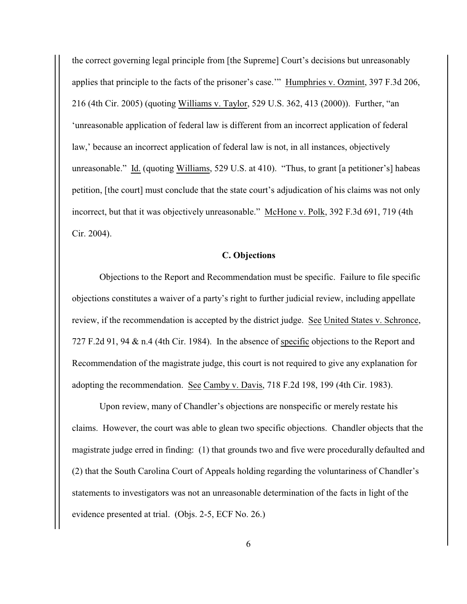the correct governing legal principle from [the Supreme] Court's decisions but unreasonably applies that principle to the facts of the prisoner's case.'" Humphries v. Ozmint, 397 F.3d 206, 216 (4th Cir. 2005) (quoting Williams v. Taylor, 529 U.S. 362, 413 (2000)). Further, "an 'unreasonable application of federal law is different from an incorrect application of federal law,' because an incorrect application of federal law is not, in all instances, objectively unreasonable." Id. (quoting Williams, 529 U.S. at 410). "Thus, to grant [a petitioner's] habeas petition, [the court] must conclude that the state court's adjudication of his claims was not only incorrect, but that it was objectively unreasonable." McHone v. Polk, 392 F.3d 691, 719 (4th Cir. 2004).

### **C. Objections**

Objections to the Report and Recommendation must be specific. Failure to file specific objections constitutes a waiver of a party's right to further judicial review, including appellate review, if the recommendation is accepted by the district judge. See United States v. Schronce, 727 F.2d 91, 94 & n.4 (4th Cir. 1984). In the absence of specific objections to the Report and Recommendation of the magistrate judge, this court is not required to give any explanation for adopting the recommendation. See Camby v. Davis, 718 F.2d 198, 199 (4th Cir. 1983).

Upon review, many of Chandler's objections are nonspecific or merely restate his claims. However, the court was able to glean two specific objections. Chandler objects that the magistrate judge erred in finding: (1) that grounds two and five were procedurally defaulted and (2) that the South Carolina Court of Appeals holding regarding the voluntariness of Chandler's statements to investigators was not an unreasonable determination of the facts in light of the evidence presented at trial. (Objs. 2-5, ECF No. 26.)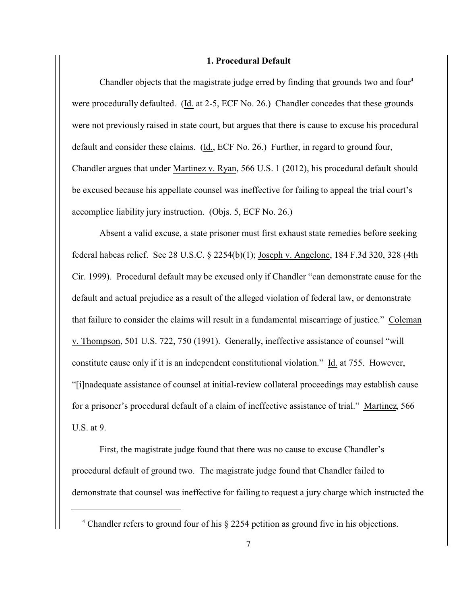### **1. Procedural Default**

Chandler objects that the magistrate judge erred by finding that grounds two and four<sup>4</sup> were procedurally defaulted. (Id. at 2-5, ECF No. 26.) Chandler concedes that these grounds were not previously raised in state court, but argues that there is cause to excuse his procedural default and consider these claims. (Id., ECF No. 26.) Further, in regard to ground four, Chandler argues that under Martinez v. Ryan, 566 U.S. 1 (2012), his procedural default should be excused because his appellate counsel was ineffective for failing to appeal the trial court's accomplice liability jury instruction. (Objs. 5, ECF No. 26.)

Absent a valid excuse, a state prisoner must first exhaust state remedies before seeking federal habeas relief. See 28 U.S.C. § 2254(b)(1); Joseph v. Angelone, 184 F.3d 320, 328 (4th Cir. 1999). Procedural default may be excused only if Chandler "can demonstrate cause for the default and actual prejudice as a result of the alleged violation of federal law, or demonstrate that failure to consider the claims will result in a fundamental miscarriage of justice." Coleman v. Thompson, 501 U.S. 722, 750 (1991). Generally, ineffective assistance of counsel "will constitute cause only if it is an independent constitutional violation." Id. at 755. However, "[i]nadequate assistance of counsel at initial-review collateral proceedings may establish cause for a prisoner's procedural default of a claim of ineffective assistance of trial." Martinez, 566 U.S. at 9.

First, the magistrate judge found that there was no cause to excuse Chandler's procedural default of ground two. The magistrate judge found that Chandler failed to demonstrate that counsel was ineffective for failing to request a jury charge which instructed the

<sup>&</sup>lt;sup>4</sup> Chandler refers to ground four of his § 2254 petition as ground five in his objections.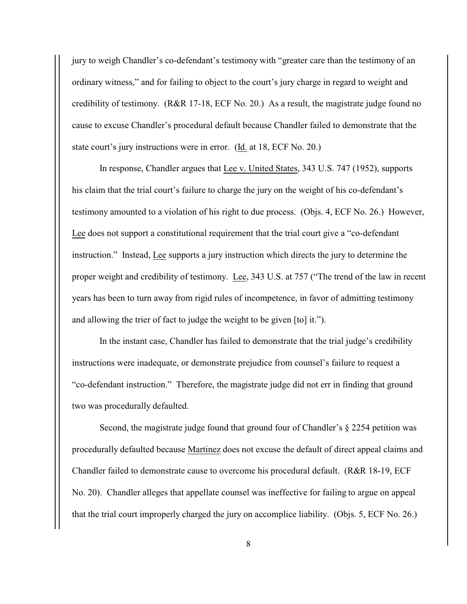jury to weigh Chandler's co-defendant's testimony with "greater care than the testimony of an ordinary witness," and for failing to object to the court's jury charge in regard to weight and credibility of testimony. (R&R 17-18, ECF No. 20.) As a result, the magistrate judge found no cause to excuse Chandler's procedural default because Chandler failed to demonstrate that the state court's jury instructions were in error. (Id. at 18, ECF No. 20.)

In response, Chandler argues that Lee v. United States, 343 U.S. 747 (1952), supports his claim that the trial court's failure to charge the jury on the weight of his co-defendant's testimony amounted to a violation of his right to due process. (Objs. 4, ECF No. 26.) However, Lee does not support a constitutional requirement that the trial court give a "co-defendant instruction." Instead, Lee supports a jury instruction which directs the jury to determine the proper weight and credibility of testimony. Lee, 343 U.S. at 757 ("The trend of the law in recent years has been to turn away from rigid rules of incompetence, in favor of admitting testimony and allowing the trier of fact to judge the weight to be given [to] it.").

In the instant case, Chandler has failed to demonstrate that the trial judge's credibility instructions were inadequate, or demonstrate prejudice from counsel's failure to request a "co-defendant instruction." Therefore, the magistrate judge did not err in finding that ground two was procedurally defaulted.

Second, the magistrate judge found that ground four of Chandler's § 2254 petition was procedurally defaulted because Martinez does not excuse the default of direct appeal claims and Chandler failed to demonstrate cause to overcome his procedural default. (R&R 18-19, ECF No. 20). Chandler alleges that appellate counsel was ineffective for failing to argue on appeal that the trial court improperly charged the jury on accomplice liability. (Objs. 5, ECF No. 26.)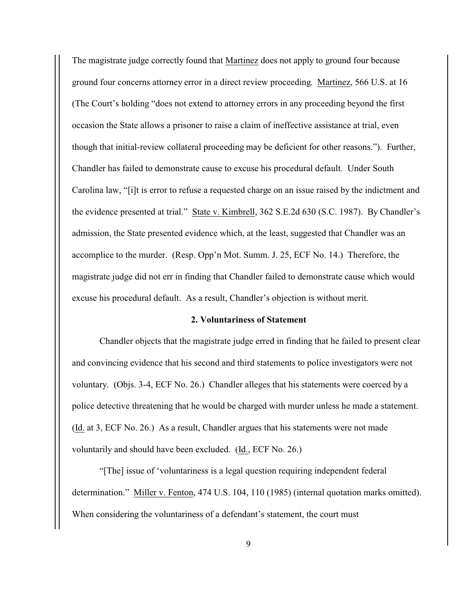The magistrate judge correctly found that Martinez does not apply to ground four because ground four concerns attorney error in a direct review proceeding. Martinez, 566 U.S. at 16 (The Court's holding "does not extend to attorney errors in any proceeding beyond the first occasion the State allows a prisoner to raise a claim of ineffective assistance at trial, even though that initial-review collateral proceeding may be deficient for other reasons."). Further, Chandler has failed to demonstrate cause to excuse his procedural default. Under South Carolina law, "[i]t is error to refuse a requested charge on an issue raised by the indictment and the evidence presented at trial." State v. Kimbrell, 362 S.E.2d 630 (S.C. 1987). By Chandler's admission, the State presented evidence which, at the least, suggested that Chandler was an accomplice to the murder. (Resp. Opp'n Mot. Summ. J. 25, ECF No. 14.) Therefore, the magistrate judge did not err in finding that Chandler failed to demonstrate cause which would excuse his procedural default. As a result, Chandler's objection is without merit.

#### **2. Voluntariness of Statement**

Chandler objects that the magistrate judge erred in finding that he failed to present clear and convincing evidence that his second and third statements to police investigators were not voluntary. (Objs. 3-4, ECF No. 26.) Chandler alleges that his statements were coerced by a police detective threatening that he would be charged with murder unless he made a statement. (Id. at 3, ECF No. 26.) As a result, Chandler argues that his statements were not made voluntarily and should have been excluded. (Id., ECF No. 26.)

"[The] issue of 'voluntariness is a legal question requiring independent federal determination." Miller v. Fenton, 474 U.S. 104, 110 (1985) (internal quotation marks omitted). When considering the voluntariness of a defendant's statement, the court must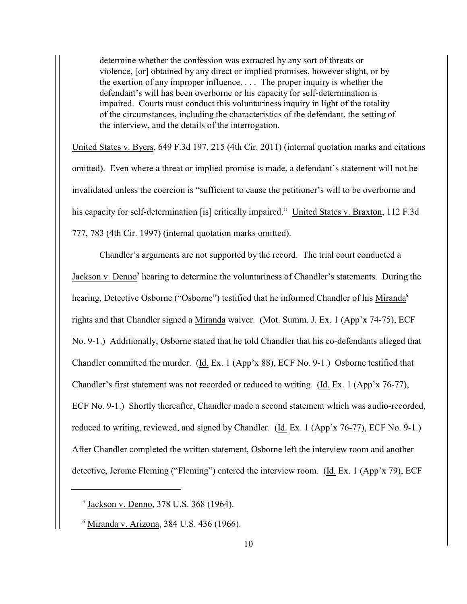determine whether the confession was extracted by any sort of threats or violence, [or] obtained by any direct or implied promises, however slight, or by the exertion of any improper influence. . . . The proper inquiry is whether the defendant's will has been overborne or his capacity for self-determination is impaired. Courts must conduct this voluntariness inquiry in light of the totality of the circumstances, including the characteristics of the defendant, the setting of the interview, and the details of the interrogation.

United States v. Byers, 649 F.3d 197, 215 (4th Cir. 2011) (internal quotation marks and citations omitted). Even where a threat or implied promise is made, a defendant's statement will not be invalidated unless the coercion is "sufficient to cause the petitioner's will to be overborne and his capacity for self-determination [is] critically impaired." United States v. Braxton, 112 F.3d 777, 783 (4th Cir. 1997) (internal quotation marks omitted).

Chandler's arguments are not supported by the record. The trial court conducted a Jackson v. Denno<sup>5</sup> hearing to determine the voluntariness of Chandler's statements. During the hearing, Detective Osborne ("Osborne") testified that he informed Chandler of his Miranda<sup>6</sup> rights and that Chandler signed a Miranda waiver. (Mot. Summ. J. Ex. 1 (App'x 74-75), ECF No. 9-1.) Additionally, Osborne stated that he told Chandler that his co-defendants alleged that Chandler committed the murder. (Id. Ex. 1 (App'x 88), ECF No. 9-1.) Osborne testified that Chandler's first statement was not recorded or reduced to writing. (Id. Ex. 1 (App'x 76-77), ECF No. 9-1.) Shortly thereafter, Chandler made a second statement which was audio-recorded, reduced to writing, reviewed, and signed by Chandler. (Id. Ex. 1 (App'x 76-77), ECF No. 9-1.) After Chandler completed the written statement, Osborne left the interview room and another detective, Jerome Fleming ("Fleming") entered the interview room. (Id. Ex. 1 (App'x 79), ECF

<sup>&</sup>lt;sup>5</sup> Jackson v. Denno, 378 U.S. 368 (1964).

<sup>&</sup>lt;sup>6</sup> Miranda v. Arizona, 384 U.S. 436 (1966).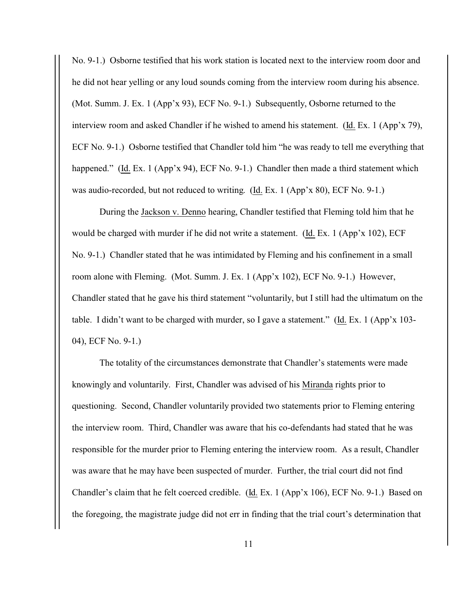No. 9-1.) Osborne testified that his work station is located next to the interview room door and he did not hear yelling or any loud sounds coming from the interview room during his absence. (Mot. Summ. J. Ex. 1 (App'x 93), ECF No. 9-1.) Subsequently, Osborne returned to the interview room and asked Chandler if he wished to amend his statement. (Id. Ex. 1 (App'x 79), ECF No. 9-1.) Osborne testified that Chandler told him "he was ready to tell me everything that happened." (Id. Ex. 1 (App'x 94), ECF No. 9-1.) Chandler then made a third statement which was audio-recorded, but not reduced to writing. (Id. Ex. 1 (App'x 80), ECF No. 9-1.)

During the Jackson v. Denno hearing, Chandler testified that Fleming told him that he would be charged with murder if he did not write a statement. (Id. Ex. 1 (App'x 102), ECF No. 9-1.) Chandler stated that he was intimidated by Fleming and his confinement in a small room alone with Fleming. (Mot. Summ. J. Ex. 1 (App'x 102), ECF No. 9-1.) However, Chandler stated that he gave his third statement "voluntarily, but I still had the ultimatum on the table. I didn't want to be charged with murder, so I gave a statement." (Id. Ex. 1 (App'x 103- 04), ECF No. 9-1.)

The totality of the circumstances demonstrate that Chandler's statements were made knowingly and voluntarily. First, Chandler was advised of his Miranda rights prior to questioning. Second, Chandler voluntarily provided two statements prior to Fleming entering the interview room. Third, Chandler was aware that his co-defendants had stated that he was responsible for the murder prior to Fleming entering the interview room. As a result, Chandler was aware that he may have been suspected of murder. Further, the trial court did not find Chandler's claim that he felt coerced credible. (Id. Ex. 1 (App'x 106), ECF No. 9-1.) Based on the foregoing, the magistrate judge did not err in finding that the trial court's determination that